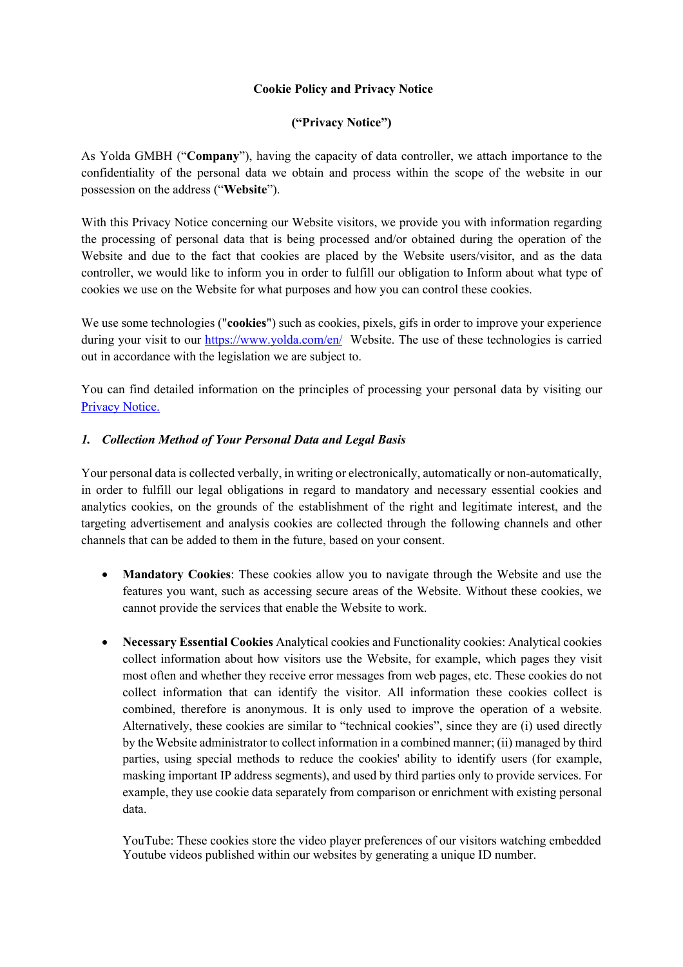## **Cookie Policy and Privacy Notice**

## **("Privacy Notice")**

As Yolda GMBH ("**Company**"), having the capacity of data controller, we attach importance to the confidentiality of the personal data we obtain and process within the scope of the website in our possession on the address ("**Website**").

With this Privacy Notice concerning our Website visitors, we provide you with information regarding the processing of personal data that is being processed and/or obtained during the operation of the Website and due to the fact that cookies are placed by the Website users/visitor, and as the data controller, we would like to inform you in order to fulfill our obligation to Inform about what type of cookies we use on the Website for what purposes and how you can control these cookies.

We use some technologies ("**cookies**") such as cookies, pixels, gifs in order to improve your experience during your visit to our https://www.yolda.com/en/ Website. The use of these technologies is carried out in accordance with the legislation we are subject to.

You can find detailed information on the principles of processing your personal data by visiting our Privacy Notice.

# *1. Collection Method of Your Personal Data and Legal Basis*

Your personal data is collected verbally, in writing or electronically, automatically or non-automatically, in order to fulfill our legal obligations in regard to mandatory and necessary essential cookies and analytics cookies, on the grounds of the establishment of the right and legitimate interest, and the targeting advertisement and analysis cookies are collected through the following channels and other channels that can be added to them in the future, based on your consent.

- **Mandatory Cookies**: These cookies allow you to navigate through the Website and use the features you want, such as accessing secure areas of the Website. Without these cookies, we cannot provide the services that enable the Website to work.
- **Necessary Essential Cookies** Analytical cookies and Functionality cookies: Analytical cookies collect information about how visitors use the Website, for example, which pages they visit most often and whether they receive error messages from web pages, etc. These cookies do not collect information that can identify the visitor. All information these cookies collect is combined, therefore is anonymous. It is only used to improve the operation of a website. Alternatively, these cookies are similar to "technical cookies", since they are (i) used directly by the Website administrator to collect information in a combined manner; (ii) managed by third parties, using special methods to reduce the cookies' ability to identify users (for example, masking important IP address segments), and used by third parties only to provide services. For example, they use cookie data separately from comparison or enrichment with existing personal data.

YouTube: These cookies store the video player preferences of our visitors watching embedded Youtube videos published within our websites by generating a unique ID number.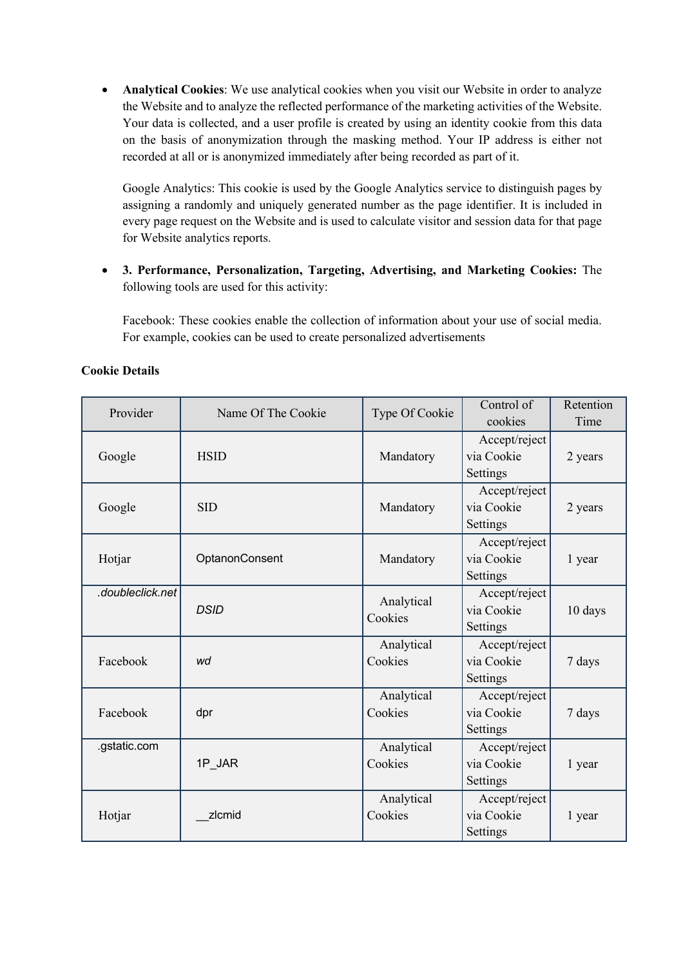• **Analytical Cookies**: We use analytical cookies when you visit our Website in order to analyze the Website and to analyze the reflected performance of the marketing activities of the Website. Your data is collected, and a user profile is created by using an identity cookie from this data on the basis of anonymization through the masking method. Your IP address is either not recorded at all or is anonymized immediately after being recorded as part of it.

Google Analytics: This cookie is used by the Google Analytics service to distinguish pages by assigning a randomly and uniquely generated number as the page identifier. It is included in every page request on the Website and is used to calculate visitor and session data for that page for Website analytics reports.

• **3. Performance, Personalization, Targeting, Advertising, and Marketing Cookies:** The following tools are used for this activity:

Facebook: These cookies enable the collection of information about your use of social media. For example, cookies can be used to create personalized advertisements

| Provider         | Name Of The Cookie | Type Of Cookie | Control of    | Retention |
|------------------|--------------------|----------------|---------------|-----------|
|                  |                    |                | cookies       | Time      |
|                  |                    |                | Accept/reject |           |
| Google           | <b>HSID</b>        | Mandatory      | via Cookie    | 2 years   |
|                  |                    |                | Settings      |           |
|                  |                    |                | Accept/reject |           |
| Google           | <b>SID</b>         | Mandatory      | via Cookie    | 2 years   |
|                  |                    |                | Settings      |           |
|                  |                    |                | Accept/reject |           |
| Hotjar           | OptanonConsent     | Mandatory      | via Cookie    | 1 year    |
|                  |                    |                | Settings      |           |
| .doubleclick.net |                    | Analytical     | Accept/reject |           |
|                  | <b>DSID</b>        | Cookies        | via Cookie    | 10 days   |
|                  |                    |                | Settings      |           |
|                  |                    | Analytical     | Accept/reject |           |
| Facebook         | wd                 | Cookies        | via Cookie    | 7 days    |
|                  |                    |                | Settings      |           |
|                  |                    | Analytical     | Accept/reject |           |
| Facebook         | dpr                | Cookies        | via Cookie    | 7 days    |
|                  |                    |                | Settings      |           |
| .gstatic.com     |                    | Analytical     | Accept/reject |           |
|                  | 1P JAR             | Cookies        | via Cookie    | 1 year    |
|                  |                    |                | Settings      |           |
|                  |                    | Analytical     | Accept/reject |           |
| Hotjar           | zlcmid             | Cookies        | via Cookie    | 1 year    |
|                  |                    |                | Settings      |           |

#### **Cookie Details**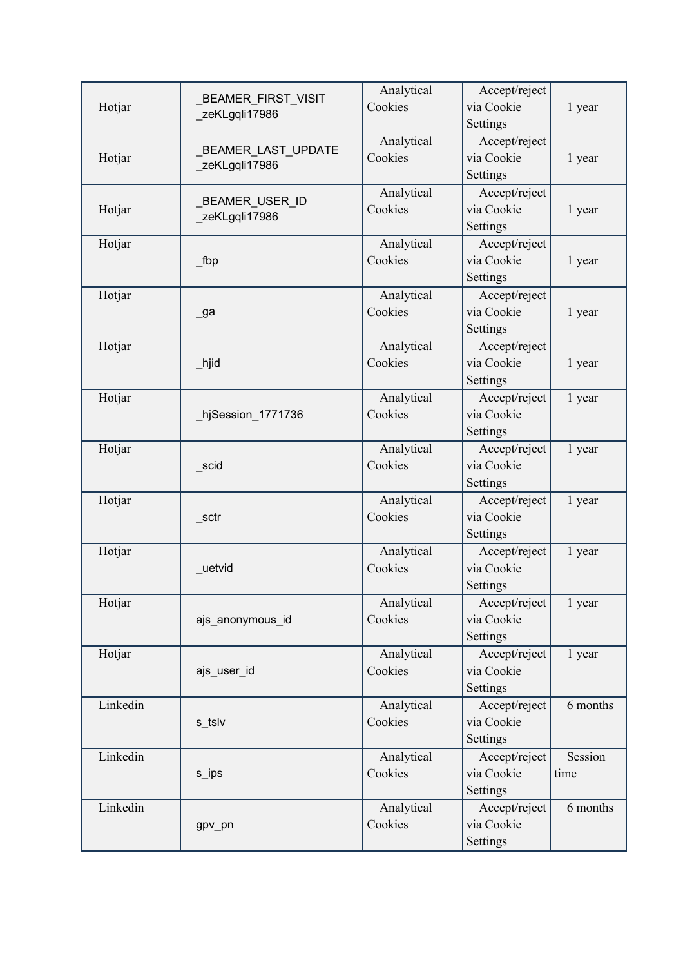| Hotjar   | <b>BEAMER_FIRST_VISIT</b><br>zeKLgqli17986 | Analytical<br>Cookies | Accept/reject<br>via Cookie<br>Settings | 1 year          |
|----------|--------------------------------------------|-----------------------|-----------------------------------------|-----------------|
| Hotjar   | _BEAMER_LAST_UPDATE<br>zeKLgqli17986       | Analytical<br>Cookies | Accept/reject<br>via Cookie<br>Settings | 1 year          |
| Hotjar   | BEAMER_USER_ID<br>zeKLgqli17986            | Analytical<br>Cookies | Accept/reject<br>via Cookie<br>Settings | 1 year          |
| Hotjar   | fbp                                        | Analytical<br>Cookies | Accept/reject<br>via Cookie<br>Settings | 1 year          |
| Hotjar   | _ga                                        | Analytical<br>Cookies | Accept/reject<br>via Cookie<br>Settings | 1 year          |
| Hotjar   | $\_$ hjid                                  | Analytical<br>Cookies | Accept/reject<br>via Cookie<br>Settings | 1 year          |
| Hotjar   | hjSession_1771736                          | Analytical<br>Cookies | Accept/reject<br>via Cookie<br>Settings | 1 year          |
| Hotjar   | scid                                       | Analytical<br>Cookies | Accept/reject<br>via Cookie<br>Settings | 1 year          |
| Hotjar   | sctr                                       | Analytical<br>Cookies | Accept/reject<br>via Cookie<br>Settings | 1 year          |
| Hotjar   | uetvid                                     | Analytical<br>Cookies | Accept/reject<br>via Cookie<br>Settings | 1 year          |
| Hotjar   | ajs_anonymous_id                           | Analytical<br>Cookies | Accept/reject<br>via Cookie<br>Settings | 1 year          |
| Hotjar   | ajs_user_id                                | Analytical<br>Cookies | Accept/reject<br>via Cookie<br>Settings | 1 year          |
| Linkedin | s_tslv                                     | Analytical<br>Cookies | Accept/reject<br>via Cookie<br>Settings | 6 months        |
| Linkedin | s_ips                                      | Analytical<br>Cookies | Accept/reject<br>via Cookie<br>Settings | Session<br>time |
| Linkedin | gpv_pn                                     | Analytical<br>Cookies | Accept/reject<br>via Cookie<br>Settings | 6 months        |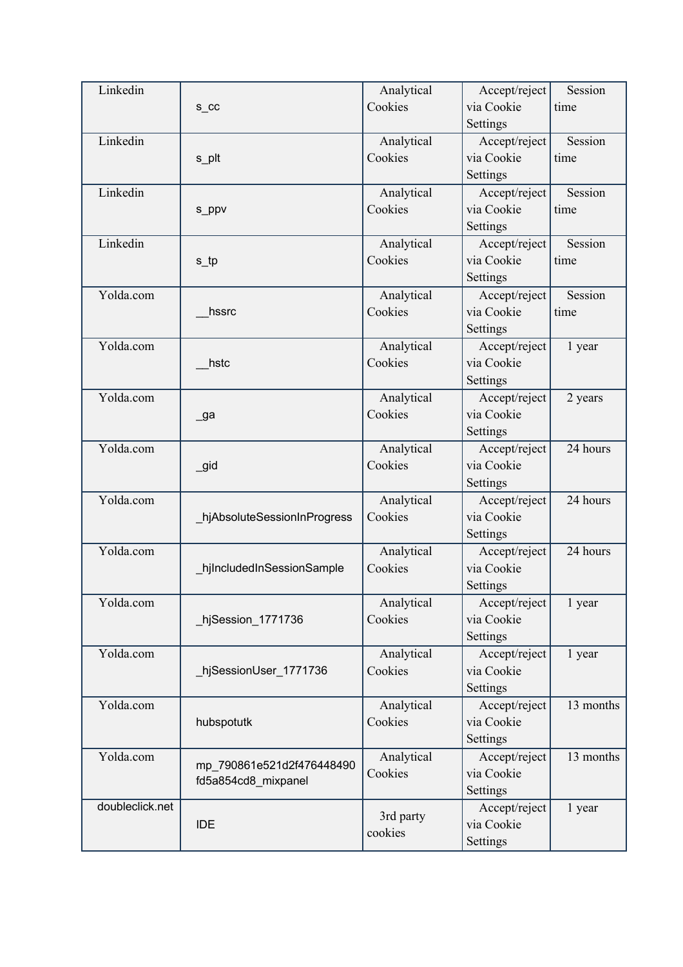| Linkedin        |                             | Analytical            | Accept/reject | Session   |
|-----------------|-----------------------------|-----------------------|---------------|-----------|
|                 | S_CC                        | Cookies               | via Cookie    | time      |
|                 |                             |                       | Settings      |           |
| Linkedin        |                             | Analytical            | Accept/reject | Session   |
|                 | s_plt                       | Cookies               | via Cookie    | time      |
|                 |                             |                       | Settings      |           |
| Linkedin        |                             | Analytical            | Accept/reject | Session   |
|                 |                             | Cookies               | via Cookie    | time      |
|                 | s_ppv                       |                       | Settings      |           |
| Linkedin        |                             |                       |               | Session   |
|                 |                             | Analytical            | Accept/reject |           |
|                 | $s$ _tp                     | Cookies               | via Cookie    | time      |
|                 |                             |                       | Settings      |           |
| Yolda.com       |                             | Analytical            | Accept/reject | Session   |
|                 | hssrc                       | Cookies               | via Cookie    | time      |
|                 |                             |                       | Settings      |           |
| Yolda.com       |                             | Analytical            | Accept/reject | 1 year    |
|                 | hstc                        | Cookies               | via Cookie    |           |
|                 |                             |                       | Settings      |           |
| Yolda.com       |                             | Analytical            | Accept/reject | 2 years   |
|                 | _ga                         | Cookies               | via Cookie    |           |
|                 |                             |                       | Settings      |           |
| Yolda.com       |                             | Analytical            | Accept/reject | 24 hours  |
|                 | $\_$ gid                    | Cookies               | via Cookie    |           |
|                 |                             |                       | Settings      |           |
| Yolda.com       |                             | Analytical            | Accept/reject | 24 hours  |
|                 | hjAbsoluteSessionInProgress | Cookies               | via Cookie    |           |
|                 |                             |                       | Settings      |           |
| Yolda.com       |                             | Analytical            | Accept/reject | 24 hours  |
|                 | hjIncludedInSessionSample   | Cookies               | via Cookie    |           |
|                 |                             |                       | Settings      |           |
| Yolda.com       |                             | Analytical            | Accept/reject | 1 year    |
|                 | hjSession_1771736           | Cookies               | via Cookie    |           |
|                 |                             |                       | Settings      |           |
| Yolda.com       |                             | Analytical            | Accept/reject | 1 year    |
|                 | hjSessionUser_1771736       | Cookies               | via Cookie    |           |
|                 |                             |                       | Settings      |           |
| Yolda.com       |                             |                       |               | 13 months |
|                 |                             | Analytical<br>Cookies | Accept/reject |           |
|                 | hubspotutk                  |                       | via Cookie    |           |
|                 |                             |                       | Settings      |           |
| Yolda.com       | mp 790861e521d2f476448490   | Analytical            | Accept/reject | 13 months |
|                 | fd5a854cd8_mixpanel         | Cookies               | via Cookie    |           |
|                 |                             |                       | Settings      |           |
| doubleclick.net |                             | 3rd party             | Accept/reject | 1 year    |
|                 | <b>IDE</b>                  | cookies               | via Cookie    |           |
|                 |                             |                       | Settings      |           |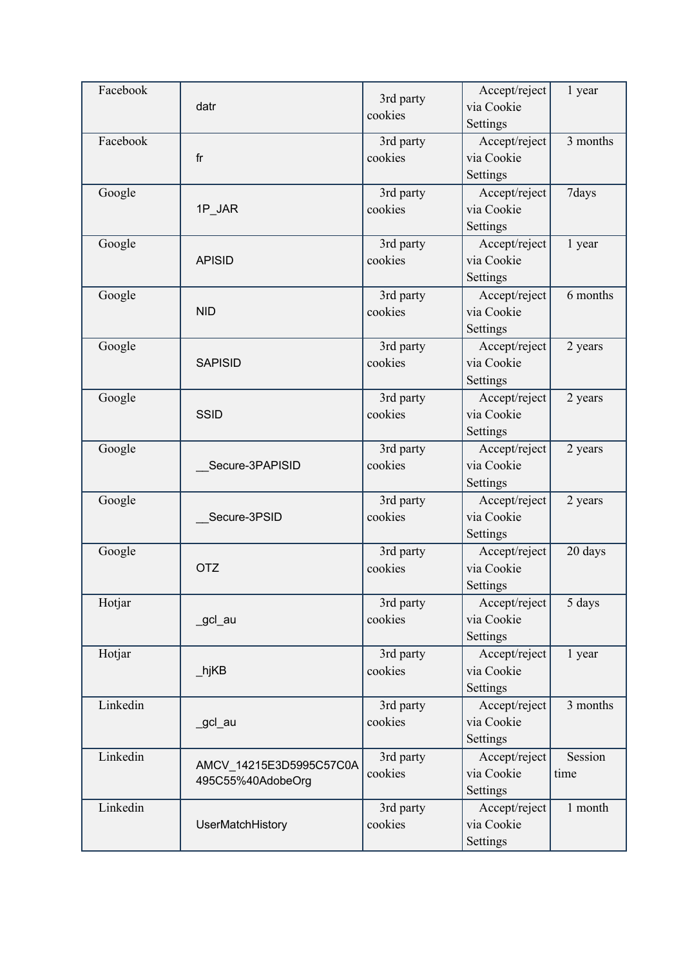| Facebook | datr                    | 3rd party<br>cookies | Accept/reject<br>via Cookie | 1 year   |
|----------|-------------------------|----------------------|-----------------------------|----------|
| Facebook |                         |                      | Settings                    | 3 months |
|          | fr                      | 3rd party<br>cookies | Accept/reject<br>via Cookie |          |
|          |                         |                      | Settings                    |          |
|          |                         |                      |                             | 7days    |
| Google   | 1P_JAR                  | 3rd party<br>cookies | Accept/reject<br>via Cookie |          |
|          |                         |                      | Settings                    |          |
| Google   |                         | 3rd party            | Accept/reject               | 1 year   |
|          | <b>APISID</b>           | cookies              | via Cookie                  |          |
|          |                         |                      | Settings                    |          |
| Google   |                         | 3rd party            | Accept/reject               | 6 months |
|          | <b>NID</b>              | cookies              | via Cookie                  |          |
|          |                         |                      | Settings                    |          |
| Google   |                         | 3rd party            | Accept/reject               | 2 years  |
|          | <b>SAPISID</b>          | cookies              | via Cookie                  |          |
|          |                         |                      | Settings                    |          |
| Google   |                         | 3rd party            | Accept/reject               | 2 years  |
|          | <b>SSID</b>             | cookies              | via Cookie                  |          |
|          |                         |                      | Settings                    |          |
| Google   |                         | 3rd party            | Accept/reject               | 2 years  |
|          | Secure-3PAPISID         | cookies              | via Cookie                  |          |
|          |                         |                      | Settings                    |          |
| Google   |                         | 3rd party            | Accept/reject               | 2 years  |
|          | Secure-3PSID            | cookies              | via Cookie                  |          |
|          |                         |                      | Settings                    |          |
| Google   |                         | 3rd party            | Accept/reject               | 20 days  |
|          | <b>OTZ</b>              | cookies              | via Cookie                  |          |
|          |                         |                      | Settings                    |          |
| Hotjar   |                         | 3rd party            | Accept/reject               | 5 days   |
|          | _gcl_au                 | cookies              | via Cookie                  |          |
|          |                         |                      | Settings                    |          |
| Hotjar   |                         | 3rd party            | Accept/reject               | 1 year   |
|          | _hjKB                   | cookies              | via Cookie                  |          |
|          |                         |                      | Settings                    |          |
| Linkedin |                         | 3rd party            | Accept/reject               | 3 months |
|          | _gcl_au                 | cookies              | via Cookie                  |          |
|          |                         |                      | Settings                    |          |
| Linkedin | AMCV_14215E3D5995C57C0A | 3rd party            | Accept/reject               | Session  |
|          | 495C55%40AdobeOrg       | cookies              | via Cookie                  | time     |
|          |                         |                      | Settings                    |          |
| Linkedin |                         | 3rd party            | Accept/reject               | 1 month  |
|          | UserMatchHistory        | cookies              | via Cookie                  |          |
|          |                         |                      | Settings                    |          |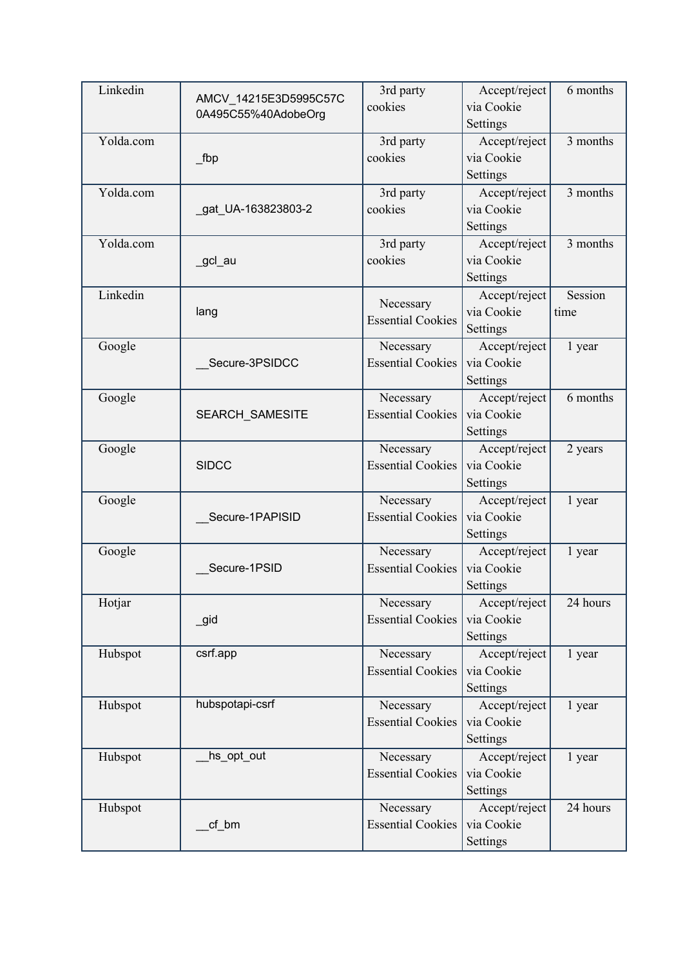| Linkedin  | AMCV 14215E3D5995C57C | 3rd party                | Accept/reject | 6 months |
|-----------|-----------------------|--------------------------|---------------|----------|
|           | 0A495C55%40AdobeOrg   | cookies                  | via Cookie    |          |
|           |                       |                          | Settings      |          |
| Yolda.com |                       | 3rd party                | Accept/reject | 3 months |
|           | fbp                   | cookies                  | via Cookie    |          |
|           |                       |                          | Settings      |          |
| Yolda.com |                       | 3rd party                | Accept/reject | 3 months |
|           | gat_UA-163823803-2    | cookies                  | via Cookie    |          |
|           |                       |                          | Settings      |          |
| Yolda.com |                       | 3rd party                | Accept/reject | 3 months |
|           | _gcl_au               | cookies                  | via Cookie    |          |
|           |                       |                          | Settings      |          |
| Linkedin  |                       | Necessary                | Accept/reject | Session  |
|           | lang                  | <b>Essential Cookies</b> | via Cookie    | time     |
|           |                       |                          | Settings      |          |
| Google    |                       | Necessary                | Accept/reject | 1 year   |
|           | Secure-3PSIDCC        | <b>Essential Cookies</b> | via Cookie    |          |
|           |                       |                          | Settings      |          |
| Google    |                       | Necessary                | Accept/reject | 6 months |
|           | SEARCH_SAMESITE       | <b>Essential Cookies</b> | via Cookie    |          |
|           |                       |                          | Settings      |          |
| Google    |                       | Necessary                | Accept/reject | 2 years  |
|           | <b>SIDCC</b>          | <b>Essential Cookies</b> | via Cookie    |          |
|           |                       |                          | Settings      |          |
| Google    |                       | Necessary                | Accept/reject | 1 year   |
|           | Secure-1PAPISID       | <b>Essential Cookies</b> | via Cookie    |          |
|           |                       |                          | Settings      |          |
| Google    |                       | Necessary                | Accept/reject | 1 year   |
|           | Secure-1PSID          | <b>Essential Cookies</b> | via Cookie    |          |
|           |                       |                          | Settings      |          |
| Hotjar    |                       | Necessary                | Accept/reject | 24 hours |
|           | _gid                  | <b>Essential Cookies</b> | via Cookie    |          |
|           |                       |                          | Settings      |          |
| Hubspot   | csrf.app              | Necessary                | Accept/reject | 1 year   |
|           |                       | <b>Essential Cookies</b> | via Cookie    |          |
|           |                       |                          | Settings      |          |
| Hubspot   | hubspotapi-csrf       | Necessary                | Accept/reject | 1 year   |
|           |                       | <b>Essential Cookies</b> | via Cookie    |          |
|           |                       |                          | Settings      |          |
| Hubspot   | hs_opt_out            | Necessary                | Accept/reject | 1 year   |
|           |                       | <b>Essential Cookies</b> | via Cookie    |          |
|           |                       |                          | Settings      |          |
| Hubspot   |                       | Necessary                | Accept/reject | 24 hours |
|           | cf_bm                 | <b>Essential Cookies</b> | via Cookie    |          |
|           |                       |                          | Settings      |          |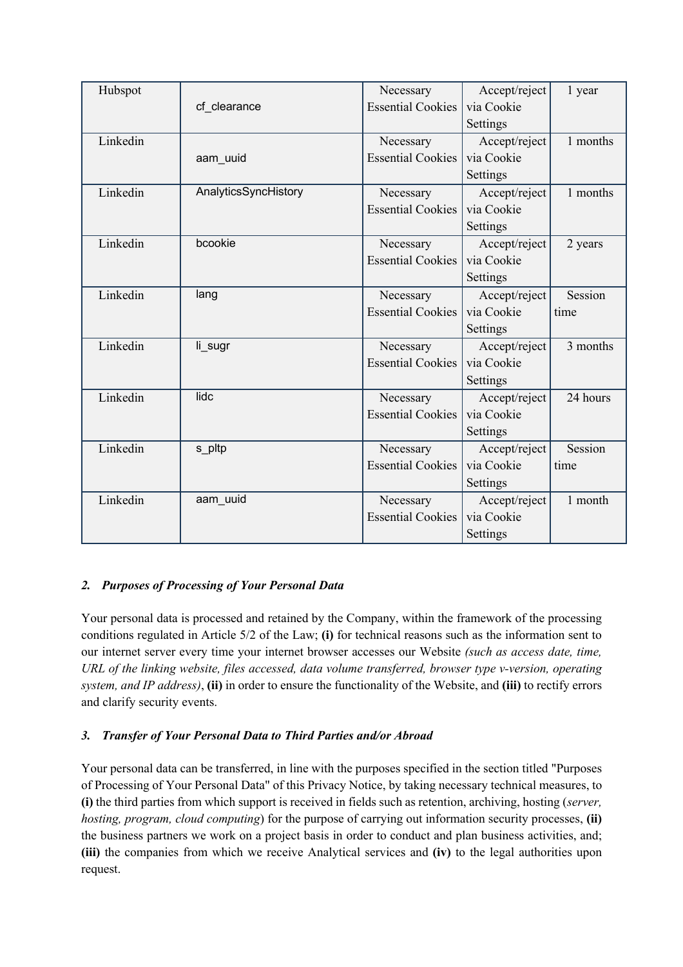| Hubspot  |                      | Necessary                | Accept/reject | 1 year   |
|----------|----------------------|--------------------------|---------------|----------|
|          | cf clearance         | <b>Essential Cookies</b> | via Cookie    |          |
|          |                      |                          | Settings      |          |
| Linkedin |                      | Necessary                | Accept/reject | 1 months |
|          | aam_uuid             | <b>Essential Cookies</b> | via Cookie    |          |
|          |                      |                          | Settings      |          |
| Linkedin | AnalyticsSyncHistory | Necessary                | Accept/reject | 1 months |
|          |                      | <b>Essential Cookies</b> | via Cookie    |          |
|          |                      |                          | Settings      |          |
| Linkedin | bcookie              | Necessary                | Accept/reject | 2 years  |
|          |                      | <b>Essential Cookies</b> | via Cookie    |          |
|          |                      |                          | Settings      |          |
| Linkedin | lang                 | Necessary                | Accept/reject | Session  |
|          |                      | <b>Essential Cookies</b> | via Cookie    | time     |
|          |                      |                          | Settings      |          |
| Linkedin | li_sugr              | Necessary                | Accept/reject | 3 months |
|          |                      | <b>Essential Cookies</b> | via Cookie    |          |
|          |                      |                          | Settings      |          |
| Linkedin | lidc                 | Necessary                | Accept/reject | 24 hours |
|          |                      | <b>Essential Cookies</b> | via Cookie    |          |
|          |                      |                          | Settings      |          |
| Linkedin | s_pltp               | Necessary                | Accept/reject | Session  |
|          |                      | <b>Essential Cookies</b> | via Cookie    | time     |
|          |                      |                          | Settings      |          |
| Linkedin | aam uuid             | Necessary                | Accept/reject | 1 month  |
|          |                      | <b>Essential Cookies</b> | via Cookie    |          |
|          |                      |                          | Settings      |          |

# *2. Purposes of Processing of Your Personal Data*

Your personal data is processed and retained by the Company, within the framework of the processing conditions regulated in Article 5/2 of the Law; **(i)** for technical reasons such as the information sent to our internet server every time your internet browser accesses our Website *(such as access date, time, URL of the linking website, files accessed, data volume transferred, browser type v-version, operating system, and IP address)*, **(ii)** in order to ensure the functionality of the Website, and **(iii)** to rectify errors and clarify security events.

# *3. Transfer of Your Personal Data to Third Parties and/or Abroad*

Your personal data can be transferred, in line with the purposes specified in the section titled "Purposes of Processing of Your Personal Data" of this Privacy Notice, by taking necessary technical measures, to **(i)** the third parties from which support is received in fields such as retention, archiving, hosting (*server, hosting, program, cloud computing*) for the purpose of carrying out information security processes, **(ii)** the business partners we work on a project basis in order to conduct and plan business activities, and; **(iii)** the companies from which we receive Analytical services and **(iv)** to the legal authorities upon request.